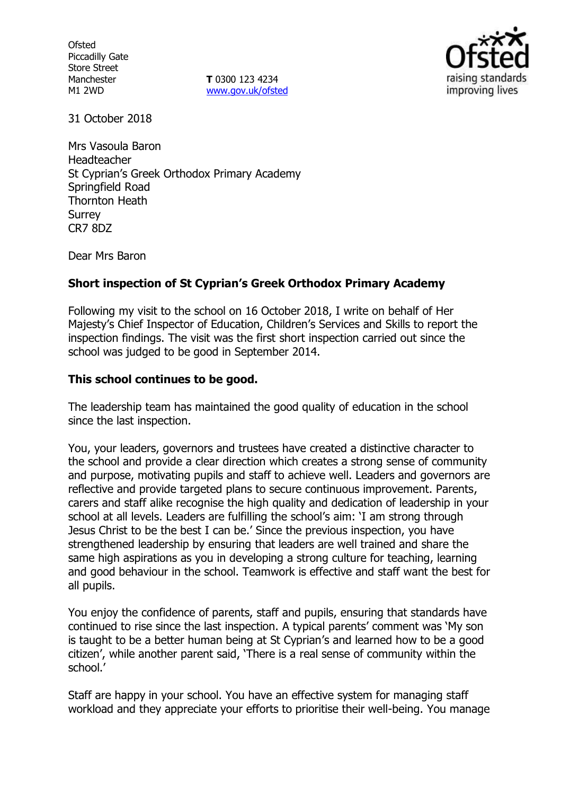**Ofsted** Piccadilly Gate Store Street Manchester M1 2WD

**T** 0300 123 4234 [www.gov.uk/ofsted](http://www.gov.uk/ofsted)



31 October 2018

Mrs Vasoula Baron Headteacher St Cyprian's Greek Orthodox Primary Academy Springfield Road Thornton Heath Surrey CR7 8DZ

Dear Mrs Baron

### **Short inspection of St Cyprian's Greek Orthodox Primary Academy**

Following my visit to the school on 16 October 2018, I write on behalf of Her Majesty's Chief Inspector of Education, Children's Services and Skills to report the inspection findings. The visit was the first short inspection carried out since the school was judged to be good in September 2014.

#### **This school continues to be good.**

The leadership team has maintained the good quality of education in the school since the last inspection.

You, your leaders, governors and trustees have created a distinctive character to the school and provide a clear direction which creates a strong sense of community and purpose, motivating pupils and staff to achieve well. Leaders and governors are reflective and provide targeted plans to secure continuous improvement. Parents, carers and staff alike recognise the high quality and dedication of leadership in your school at all levels. Leaders are fulfilling the school's aim: 'I am strong through Jesus Christ to be the best I can be.' Since the previous inspection, you have strengthened leadership by ensuring that leaders are well trained and share the same high aspirations as you in developing a strong culture for teaching, learning and good behaviour in the school. Teamwork is effective and staff want the best for all pupils.

You enjoy the confidence of parents, staff and pupils, ensuring that standards have continued to rise since the last inspection. A typical parents' comment was 'My son is taught to be a better human being at St Cyprian's and learned how to be a good citizen', while another parent said, 'There is a real sense of community within the school.'

Staff are happy in your school. You have an effective system for managing staff workload and they appreciate your efforts to prioritise their well-being. You manage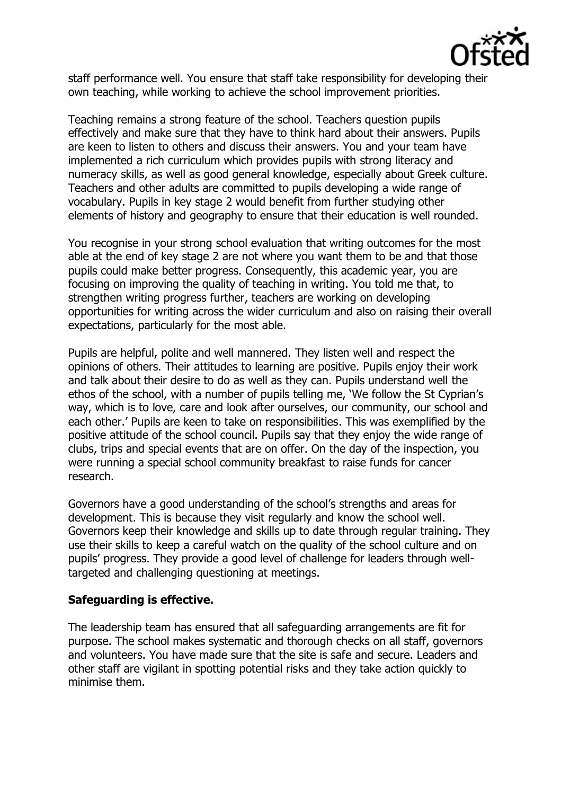

staff performance well. You ensure that staff take responsibility for developing their own teaching, while working to achieve the school improvement priorities.

Teaching remains a strong feature of the school. Teachers question pupils effectively and make sure that they have to think hard about their answers. Pupils are keen to listen to others and discuss their answers. You and your team have implemented a rich curriculum which provides pupils with strong literacy and numeracy skills, as well as good general knowledge, especially about Greek culture. Teachers and other adults are committed to pupils developing a wide range of vocabulary. Pupils in key stage 2 would benefit from further studying other elements of history and geography to ensure that their education is well rounded.

You recognise in your strong school evaluation that writing outcomes for the most able at the end of key stage 2 are not where you want them to be and that those pupils could make better progress. Consequently, this academic year, you are focusing on improving the quality of teaching in writing. You told me that, to strengthen writing progress further, teachers are working on developing opportunities for writing across the wider curriculum and also on raising their overall expectations, particularly for the most able.

Pupils are helpful, polite and well mannered. They listen well and respect the opinions of others. Their attitudes to learning are positive. Pupils enjoy their work and talk about their desire to do as well as they can. Pupils understand well the ethos of the school, with a number of pupils telling me, 'We follow the St Cyprian's way, which is to love, care and look after ourselves, our community, our school and each other.' Pupils are keen to take on responsibilities. This was exemplified by the positive attitude of the school council. Pupils say that they enjoy the wide range of clubs, trips and special events that are on offer. On the day of the inspection, you were running a special school community breakfast to raise funds for cancer research.

Governors have a good understanding of the school's strengths and areas for development. This is because they visit regularly and know the school well. Governors keep their knowledge and skills up to date through regular training. They use their skills to keep a careful watch on the quality of the school culture and on pupils' progress. They provide a good level of challenge for leaders through welltargeted and challenging questioning at meetings.

### **Safeguarding is effective.**

The leadership team has ensured that all safeguarding arrangements are fit for purpose. The school makes systematic and thorough checks on all staff, governors and volunteers. You have made sure that the site is safe and secure. Leaders and other staff are vigilant in spotting potential risks and they take action quickly to minimise them.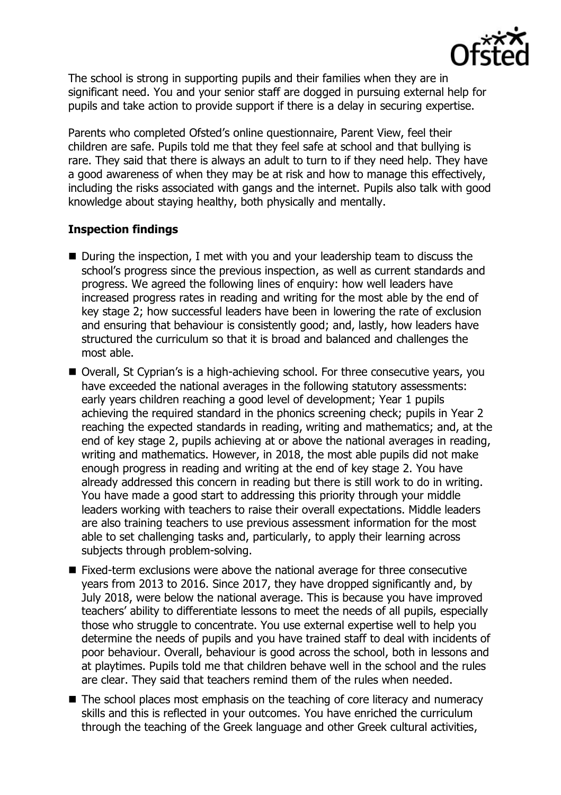

The school is strong in supporting pupils and their families when they are in significant need. You and your senior staff are dogged in pursuing external help for pupils and take action to provide support if there is a delay in securing expertise.

Parents who completed Ofsted's online questionnaire, Parent View, feel their children are safe. Pupils told me that they feel safe at school and that bullying is rare. They said that there is always an adult to turn to if they need help. They have a good awareness of when they may be at risk and how to manage this effectively, including the risks associated with gangs and the internet. Pupils also talk with good knowledge about staying healthy, both physically and mentally.

# **Inspection findings**

- During the inspection, I met with you and your leadership team to discuss the school's progress since the previous inspection, as well as current standards and progress. We agreed the following lines of enquiry: how well leaders have increased progress rates in reading and writing for the most able by the end of key stage 2; how successful leaders have been in lowering the rate of exclusion and ensuring that behaviour is consistently good; and, lastly, how leaders have structured the curriculum so that it is broad and balanced and challenges the most able.
- Overall, St Cyprian's is a high-achieving school. For three consecutive years, you have exceeded the national averages in the following statutory assessments: early years children reaching a good level of development; Year 1 pupils achieving the required standard in the phonics screening check; pupils in Year 2 reaching the expected standards in reading, writing and mathematics; and, at the end of key stage 2, pupils achieving at or above the national averages in reading, writing and mathematics. However, in 2018, the most able pupils did not make enough progress in reading and writing at the end of key stage 2. You have already addressed this concern in reading but there is still work to do in writing. You have made a good start to addressing this priority through your middle leaders working with teachers to raise their overall expectations. Middle leaders are also training teachers to use previous assessment information for the most able to set challenging tasks and, particularly, to apply their learning across subjects through problem-solving.
- Fixed-term exclusions were above the national average for three consecutive years from 2013 to 2016. Since 2017, they have dropped significantly and, by July 2018, were below the national average. This is because you have improved teachers' ability to differentiate lessons to meet the needs of all pupils, especially those who struggle to concentrate. You use external expertise well to help you determine the needs of pupils and you have trained staff to deal with incidents of poor behaviour. Overall, behaviour is good across the school, both in lessons and at playtimes. Pupils told me that children behave well in the school and the rules are clear. They said that teachers remind them of the rules when needed.
- The school places most emphasis on the teaching of core literacy and numeracy skills and this is reflected in your outcomes. You have enriched the curriculum through the teaching of the Greek language and other Greek cultural activities,